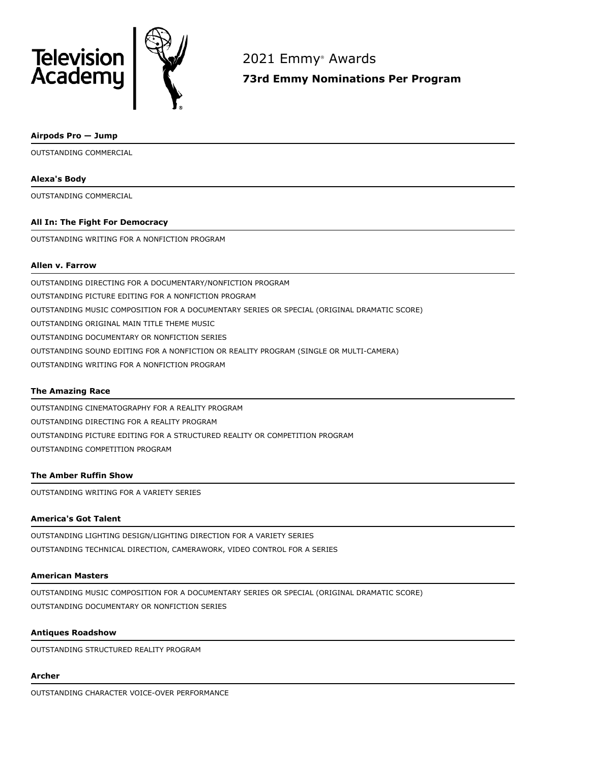



2021 Emmy ® Awards

**73rd Emmy Nominations Per Program**

## **Airpods Pro — Jump**

OUTSTANDING COMMERCIAL

## **Alexa's Body**

OUTSTANDING COMMERCIAL

## **All In: The Fight For Democracy**

OUTSTANDING WRITING FOR A NONFICTION PROGRAM

# **Allen v. Farrow**

OUTSTANDING DIRECTING FOR A DOCUMENTARY/NONFICTION PROGRAM OUTSTANDING PICTURE EDITING FOR A NONFICTION PROGRAM OUTSTANDING MUSIC COMPOSITION FOR A DOCUMENTARY SERIES OR SPECIAL (ORIGINAL DRAMATIC SCORE) OUTSTANDING ORIGINAL MAIN TITLE THEME MUSIC OUTSTANDING DOCUMENTARY OR NONFICTION SERIES OUTSTANDING SOUND EDITING FOR A NONFICTION OR REALITY PROGRAM (SINGLE OR MULTI-CAMERA) OUTSTANDING WRITING FOR A NONFICTION PROGRAM

# **The Amazing Race**

OUTSTANDING CINEMATOGRAPHY FOR A REALITY PROGRAM OUTSTANDING DIRECTING FOR A REALITY PROGRAM OUTSTANDING PICTURE EDITING FOR A STRUCTURED REALITY OR COMPETITION PROGRAM OUTSTANDING COMPETITION PROGRAM

## **The Amber Ruffin Show**

OUTSTANDING WRITING FOR A VARIETY SERIES

## **America's Got Talent**

OUTSTANDING LIGHTING DESIGN/LIGHTING DIRECTION FOR A VARIETY SERIES OUTSTANDING TECHNICAL DIRECTION, CAMERAWORK, VIDEO CONTROL FOR A SERIES

## **American Masters**

OUTSTANDING MUSIC COMPOSITION FOR A DOCUMENTARY SERIES OR SPECIAL (ORIGINAL DRAMATIC SCORE) OUTSTANDING DOCUMENTARY OR NONFICTION SERIES

## **Antiques Roadshow**

OUTSTANDING STRUCTURED REALITY PROGRAM

## **Archer**

OUTSTANDING CHARACTER VOICE-OVER PERFORMANCE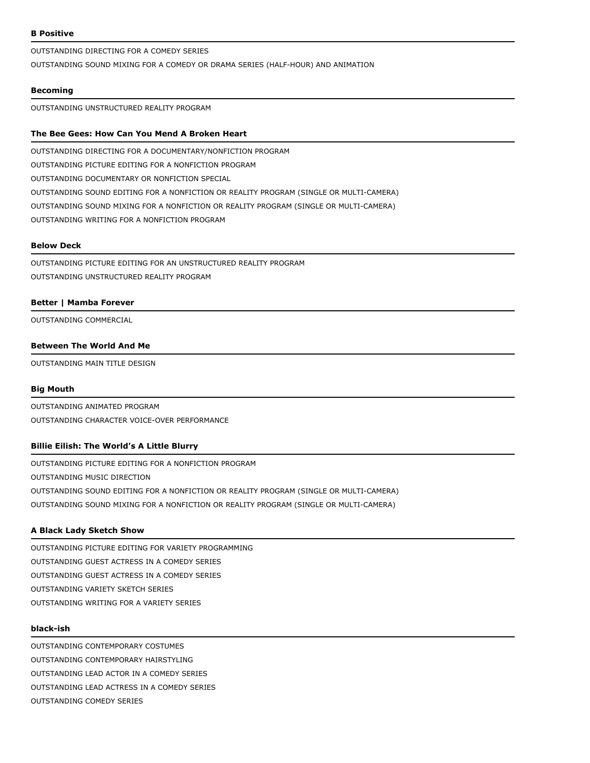## **B Positive**

OUTSTANDING DIRECTING FOR A COMEDY SERIES

OUTSTANDING SOUND MIXING FOR A COMEDY OR DRAMA SERIES (HALF-HOUR) AND ANIMATION

## **Becoming**

OUTSTANDING UNSTRUCTURED REALITY PROGRAM

## **The Bee Gees: How Can You Mend A Broken Heart**

OUTSTANDING DIRECTING FOR A DOCUMENTARY/NONFICTION PROGRAM OUTSTANDING PICTURE EDITING FOR A NONFICTION PROGRAM OUTSTANDING DOCUMENTARY OR NONFICTION SPECIAL OUTSTANDING SOUND EDITING FOR A NONFICTION OR REALITY PROGRAM (SINGLE OR MULTI-CAMERA) OUTSTANDING SOUND MIXING FOR A NONFICTION OR REALITY PROGRAM (SINGLE OR MULTI-CAMERA) OUTSTANDING WRITING FOR A NONFICTION PROGRAM

#### **Below Deck**

OUTSTANDING PICTURE EDITING FOR AN UNSTRUCTURED REALITY PROGRAM OUTSTANDING UNSTRUCTURED REALITY PROGRAM

### **Better | Mamba Forever**

OUTSTANDING COMMERCIAL

## **Between The World And Me**

OUTSTANDING MAIN TITLE DESIGN

#### **Big Mouth**

OUTSTANDING ANIMATED PROGRAM OUTSTANDING CHARACTER VOICE-OVER PERFORMANCE

## **Billie Eilish: The World's A Little Blurry**

OUTSTANDING PICTURE EDITING FOR A NONFICTION PROGRAM OUTSTANDING MUSIC DIRECTION OUTSTANDING SOUND EDITING FOR A NONFICTION OR REALITY PROGRAM (SINGLE OR MULTI-CAMERA) OUTSTANDING SOUND MIXING FOR A NONFICTION OR REALITY PROGRAM (SINGLE OR MULTI-CAMERA)

#### **A Black Lady Sketch Show**

OUTSTANDING PICTURE EDITING FOR VARIETY PROGRAMMING OUTSTANDING GUEST ACTRESS IN A COMEDY SERIES OUTSTANDING GUEST ACTRESS IN A COMEDY SERIES OUTSTANDING VARIETY SKETCH SERIES OUTSTANDING WRITING FOR A VARIETY SERIES

### **black-ish**

OUTSTANDING CONTEMPORARY COSTUMES OUTSTANDING CONTEMPORARY HAIRSTYLING OUTSTANDING LEAD ACTOR IN A COMEDY SERIES OUTSTANDING LEAD ACTRESS IN A COMEDY SERIES OUTSTANDING COMEDY SERIES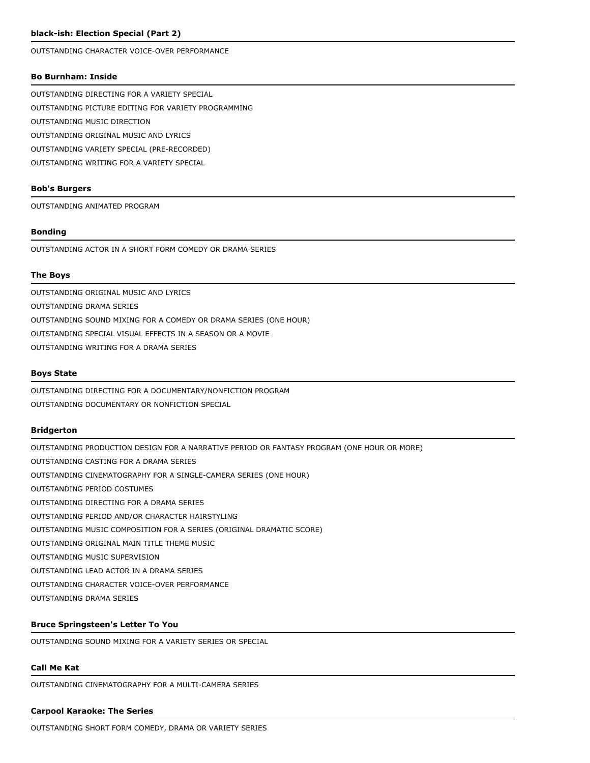## **black-ish: Election Special (Part 2)**

OUTSTANDING CHARACTER VOICE-OVER PERFORMANCE

### **Bo Burnham: Inside**

OUTSTANDING DIRECTING FOR A VARIETY SPECIAL OUTSTANDING PICTURE EDITING FOR VARIETY PROGRAMMING OUTSTANDING MUSIC DIRECTION OUTSTANDING ORIGINAL MUSIC AND LYRICS OUTSTANDING VARIETY SPECIAL (PRE-RECORDED) OUTSTANDING WRITING FOR A VARIETY SPECIAL

### **Bob's Burgers**

OUTSTANDING ANIMATED PROGRAM

## **Bonding**

OUTSTANDING ACTOR IN A SHORT FORM COMEDY OR DRAMA SERIES

## **The Boys**

OUTSTANDING ORIGINAL MUSIC AND LYRICS OUTSTANDING DRAMA SERIES OUTSTANDING SOUND MIXING FOR A COMEDY OR DRAMA SERIES (ONE HOUR) OUTSTANDING SPECIAL VISUAL EFFECTS IN A SEASON OR A MOVIE OUTSTANDING WRITING FOR A DRAMA SERIES

### **Boys State**

OUTSTANDING DIRECTING FOR A DOCUMENTARY/NONFICTION PROGRAM OUTSTANDING DOCUMENTARY OR NONFICTION SPECIAL

#### **Bridgerton**

OUTSTANDING PRODUCTION DESIGN FOR A NARRATIVE PERIOD OR FANTASY PROGRAM (ONE HOUR OR MORE) OUTSTANDING CASTING FOR A DRAMA SERIES OUTSTANDING CINEMATOGRAPHY FOR A SINGLE-CAMERA SERIES (ONE HOUR) OUTSTANDING PERIOD COSTUMES OUTSTANDING DIRECTING FOR A DRAMA SERIES OUTSTANDING PERIOD AND/OR CHARACTER HAIRSTYLING OUTSTANDING MUSIC COMPOSITION FOR A SERIES (ORIGINAL DRAMATIC SCORE) OUTSTANDING ORIGINAL MAIN TITLE THEME MUSIC OUTSTANDING MUSIC SUPERVISION OUTSTANDING LEAD ACTOR IN A DRAMA SERIES OUTSTANDING CHARACTER VOICE-OVER PERFORMANCE OUTSTANDING DRAMA SERIES

## **Bruce Springsteen's Letter To You**

OUTSTANDING SOUND MIXING FOR A VARIETY SERIES OR SPECIAL

## **Call Me Kat**

OUTSTANDING CINEMATOGRAPHY FOR A MULTI-CAMERA SERIES

#### **Carpool Karaoke: The Series**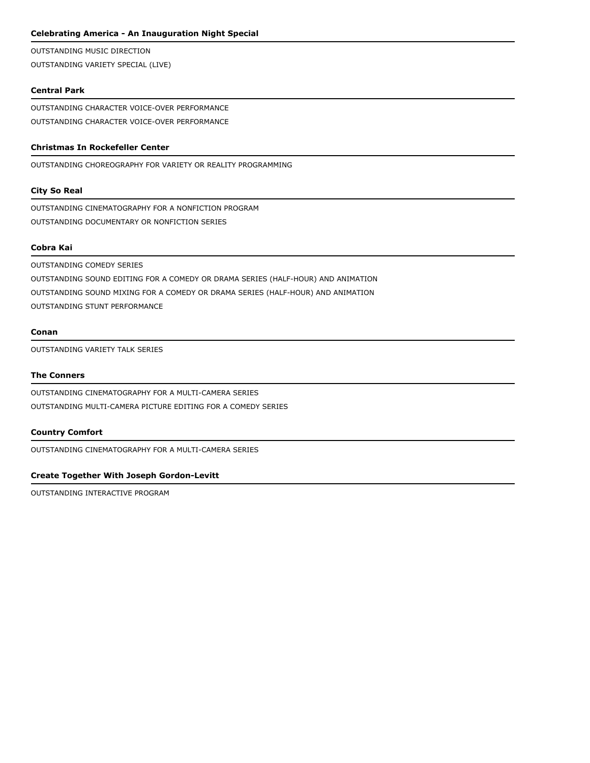## **Celebrating America - An Inauguration Night Special**

OUTSTANDING MUSIC DIRECTION OUTSTANDING VARIETY SPECIAL (LIVE)

# **Central Park**

OUTSTANDING CHARACTER VOICE-OVER PERFORMANCE OUTSTANDING CHARACTER VOICE-OVER PERFORMANCE

## **Christmas In Rockefeller Center**

OUTSTANDING CHOREOGRAPHY FOR VARIETY OR REALITY PROGRAMMING

## **City So Real**

OUTSTANDING CINEMATOGRAPHY FOR A NONFICTION PROGRAM OUTSTANDING DOCUMENTARY OR NONFICTION SERIES

## **Cobra Kai**

OUTSTANDING COMEDY SERIES OUTSTANDING SOUND EDITING FOR A COMEDY OR DRAMA SERIES (HALF-HOUR) AND ANIMATION OUTSTANDING SOUND MIXING FOR A COMEDY OR DRAMA SERIES (HALF-HOUR) AND ANIMATION OUTSTANDING STUNT PERFORMANCE

### **Conan**

OUTSTANDING VARIETY TALK SERIES

## **The Conners**

OUTSTANDING CINEMATOGRAPHY FOR A MULTI-CAMERA SERIES OUTSTANDING MULTI-CAMERA PICTURE EDITING FOR A COMEDY SERIES

### **Country Comfort**

OUTSTANDING CINEMATOGRAPHY FOR A MULTI-CAMERA SERIES

## **Create Together With Joseph Gordon-Levitt**

OUTSTANDING INTERACTIVE PROGRAM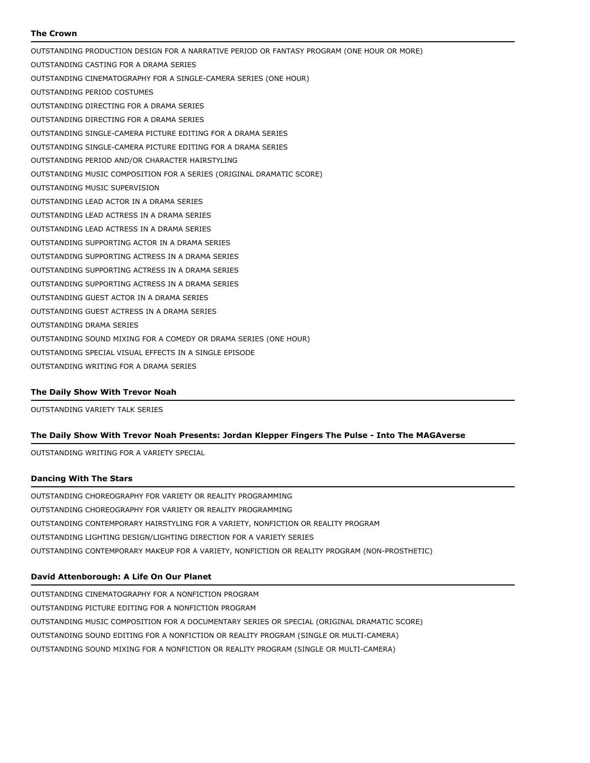## **The Crown**

OUTSTANDING PRODUCTION DESIGN FOR A NARRATIVE PERIOD OR FANTASY PROGRAM (ONE HOUR OR MORE) OUTSTANDING CASTING FOR A DRAMA SERIES OUTSTANDING CINEMATOGRAPHY FOR A SINGLE-CAMERA SERIES (ONE HOUR) OUTSTANDING PERIOD COSTUMES OUTSTANDING DIRECTING FOR A DRAMA SERIES OUTSTANDING DIRECTING FOR A DRAMA SERIES OUTSTANDING SINGLE-CAMERA PICTURE EDITING FOR A DRAMA SERIES OUTSTANDING SINGLE-CAMERA PICTURE EDITING FOR A DRAMA SERIES OUTSTANDING PERIOD AND/OR CHARACTER HAIRSTYLING OUTSTANDING MUSIC COMPOSITION FOR A SERIES (ORIGINAL DRAMATIC SCORE) OUTSTANDING MUSIC SUPERVISION OUTSTANDING LEAD ACTOR IN A DRAMA SERIES OUTSTANDING LEAD ACTRESS IN A DRAMA SERIES OUTSTANDING LEAD ACTRESS IN A DRAMA SERIES OUTSTANDING SUPPORTING ACTOR IN A DRAMA SERIES OUTSTANDING SUPPORTING ACTRESS IN A DRAMA SERIES OUTSTANDING SUPPORTING ACTRESS IN A DRAMA SERIES OUTSTANDING SUPPORTING ACTRESS IN A DRAMA SERIES OUTSTANDING GUEST ACTOR IN A DRAMA SERIES OUTSTANDING GUEST ACTRESS IN A DRAMA SERIES OUTSTANDING DRAMA SERIES OUTSTANDING SOUND MIXING FOR A COMEDY OR DRAMA SERIES (ONE HOUR) OUTSTANDING SPECIAL VISUAL EFFECTS IN A SINGLE EPISODE OUTSTANDING WRITING FOR A DRAMA SERIES

## **The Daily Show With Trevor Noah**

OUTSTANDING VARIETY TALK SERIES

## **The Daily Show With Trevor Noah Presents: Jordan Klepper Fingers The Pulse - Into The MAGAverse**

OUTSTANDING WRITING FOR A VARIETY SPECIAL

### **Dancing With The Stars**

OUTSTANDING CHOREOGRAPHY FOR VARIETY OR REALITY PROGRAMMING OUTSTANDING CHOREOGRAPHY FOR VARIETY OR REALITY PROGRAMMING OUTSTANDING CONTEMPORARY HAIRSTYLING FOR A VARIETY, NONFICTION OR REALITY PROGRAM OUTSTANDING LIGHTING DESIGN/LIGHTING DIRECTION FOR A VARIETY SERIES OUTSTANDING CONTEMPORARY MAKEUP FOR A VARIETY, NONFICTION OR REALITY PROGRAM (NON-PROSTHETIC)

## **David Attenborough: A Life On Our Planet**

OUTSTANDING CINEMATOGRAPHY FOR A NONFICTION PROGRAM OUTSTANDING PICTURE EDITING FOR A NONFICTION PROGRAM OUTSTANDING MUSIC COMPOSITION FOR A DOCUMENTARY SERIES OR SPECIAL (ORIGINAL DRAMATIC SCORE) OUTSTANDING SOUND EDITING FOR A NONFICTION OR REALITY PROGRAM (SINGLE OR MULTI-CAMERA) OUTSTANDING SOUND MIXING FOR A NONFICTION OR REALITY PROGRAM (SINGLE OR MULTI-CAMERA)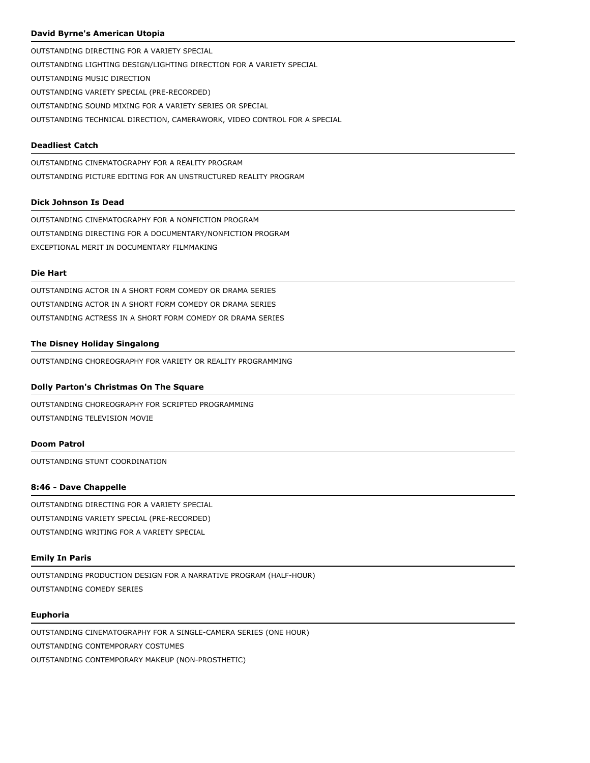## **David Byrne's American Utopia**

OUTSTANDING DIRECTING FOR A VARIETY SPECIAL OUTSTANDING LIGHTING DESIGN/LIGHTING DIRECTION FOR A VARIETY SPECIAL OUTSTANDING MUSIC DIRECTION OUTSTANDING VARIETY SPECIAL (PRE-RECORDED) OUTSTANDING SOUND MIXING FOR A VARIETY SERIES OR SPECIAL OUTSTANDING TECHNICAL DIRECTION, CAMERAWORK, VIDEO CONTROL FOR A SPECIAL

## **Deadliest Catch**

OUTSTANDING CINEMATOGRAPHY FOR A REALITY PROGRAM OUTSTANDING PICTURE EDITING FOR AN UNSTRUCTURED REALITY PROGRAM

## **Dick Johnson Is Dead**

OUTSTANDING CINEMATOGRAPHY FOR A NONFICTION PROGRAM OUTSTANDING DIRECTING FOR A DOCUMENTARY/NONFICTION PROGRAM EXCEPTIONAL MERIT IN DOCUMENTARY FILMMAKING

## **Die Hart**

OUTSTANDING ACTOR IN A SHORT FORM COMEDY OR DRAMA SERIES OUTSTANDING ACTOR IN A SHORT FORM COMEDY OR DRAMA SERIES OUTSTANDING ACTRESS IN A SHORT FORM COMEDY OR DRAMA SERIES

## **The Disney Holiday Singalong**

OUTSTANDING CHOREOGRAPHY FOR VARIETY OR REALITY PROGRAMMING

## **Dolly Parton's Christmas On The Square**

OUTSTANDING CHOREOGRAPHY FOR SCRIPTED PROGRAMMING OUTSTANDING TELEVISION MOVIE

## **Doom Patrol**

OUTSTANDING STUNT COORDINATION

## **8:46 - Dave Chappelle**

OUTSTANDING DIRECTING FOR A VARIETY SPECIAL OUTSTANDING VARIETY SPECIAL (PRE-RECORDED) OUTSTANDING WRITING FOR A VARIETY SPECIAL

## **Emily In Paris**

OUTSTANDING PRODUCTION DESIGN FOR A NARRATIVE PROGRAM (HALF-HOUR) OUTSTANDING COMEDY SERIES

### **Euphoria**

OUTSTANDING CINEMATOGRAPHY FOR A SINGLE-CAMERA SERIES (ONE HOUR) OUTSTANDING CONTEMPORARY COSTUMES OUTSTANDING CONTEMPORARY MAKEUP (NON-PROSTHETIC)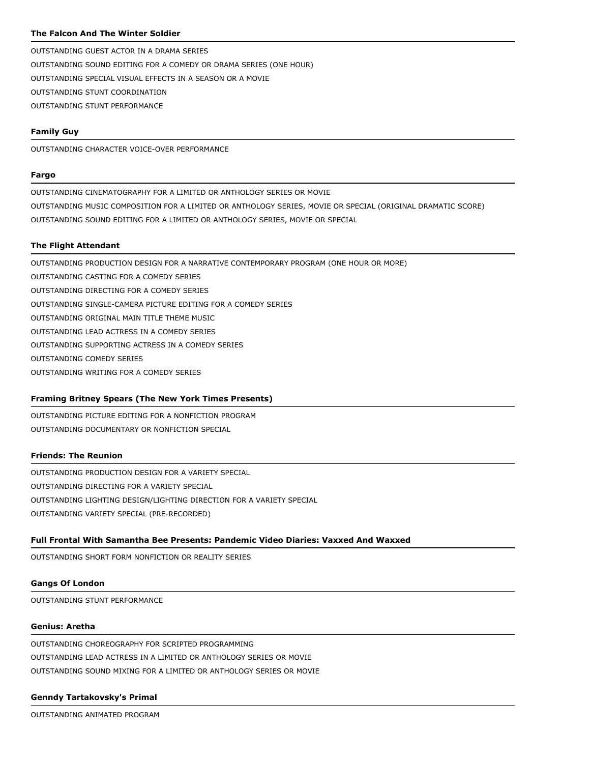## **The Falcon And The Winter Soldier**

OUTSTANDING GUEST ACTOR IN A DRAMA SERIES OUTSTANDING SOUND EDITING FOR A COMEDY OR DRAMA SERIES (ONE HOUR) OUTSTANDING SPECIAL VISUAL EFFECTS IN A SEASON OR A MOVIE OUTSTANDING STUNT COORDINATION OUTSTANDING STUNT PERFORMANCE

## **Family Guy**

OUTSTANDING CHARACTER VOICE-OVER PERFORMANCE

### **Fargo**

OUTSTANDING CINEMATOGRAPHY FOR A LIMITED OR ANTHOLOGY SERIES OR MOVIE OUTSTANDING MUSIC COMPOSITION FOR A LIMITED OR ANTHOLOGY SERIES, MOVIE OR SPECIAL (ORIGINAL DRAMATIC SCORE) OUTSTANDING SOUND EDITING FOR A LIMITED OR ANTHOLOGY SERIES, MOVIE OR SPECIAL

### **The Flight Attendant**

OUTSTANDING PRODUCTION DESIGN FOR A NARRATIVE CONTEMPORARY PROGRAM (ONE HOUR OR MORE) OUTSTANDING CASTING FOR A COMEDY SERIES

OUTSTANDING DIRECTING FOR A COMEDY SERIES

OUTSTANDING SINGLE-CAMERA PICTURE EDITING FOR A COMEDY SERIES

- OUTSTANDING ORIGINAL MAIN TITLE THEME MUSIC
- OUTSTANDING LEAD ACTRESS IN A COMEDY SERIES
- OUTSTANDING SUPPORTING ACTRESS IN A COMEDY SERIES

OUTSTANDING COMEDY SERIES

OUTSTANDING WRITING FOR A COMEDY SERIES

## **Framing Britney Spears (The New York Times Presents)**

OUTSTANDING PICTURE EDITING FOR A NONFICTION PROGRAM OUTSTANDING DOCUMENTARY OR NONFICTION SPECIAL

## **Friends: The Reunion**

OUTSTANDING PRODUCTION DESIGN FOR A VARIETY SPECIAL OUTSTANDING DIRECTING FOR A VARIETY SPECIAL OUTSTANDING LIGHTING DESIGN/LIGHTING DIRECTION FOR A VARIETY SPECIAL OUTSTANDING VARIETY SPECIAL (PRE-RECORDED)

### **Full Frontal With Samantha Bee Presents: Pandemic Video Diaries: Vaxxed And Waxxed**

OUTSTANDING SHORT FORM NONFICTION OR REALITY SERIES

## **Gangs Of London**

OUTSTANDING STUNT PERFORMANCE

## **Genius: Aretha**

OUTSTANDING CHOREOGRAPHY FOR SCRIPTED PROGRAMMING OUTSTANDING LEAD ACTRESS IN A LIMITED OR ANTHOLOGY SERIES OR MOVIE OUTSTANDING SOUND MIXING FOR A LIMITED OR ANTHOLOGY SERIES OR MOVIE

### **Genndy Tartakovsky's Primal**

OUTSTANDING ANIMATED PROGRAM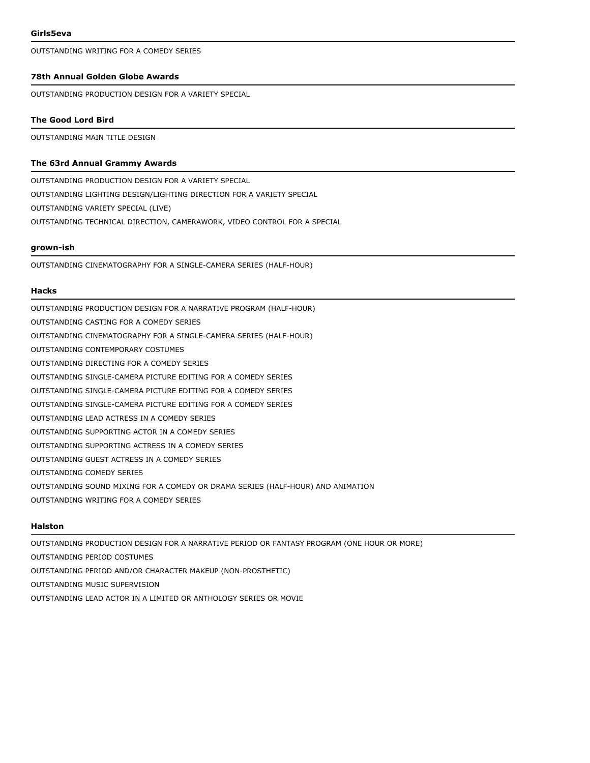OUTSTANDING WRITING FOR A COMEDY SERIES

## **78th Annual Golden Globe Awards**

OUTSTANDING PRODUCTION DESIGN FOR A VARIETY SPECIAL

#### **The Good Lord Bird**

OUTSTANDING MAIN TITLE DESIGN

## **The 63rd Annual Grammy Awards**

OUTSTANDING PRODUCTION DESIGN FOR A VARIETY SPECIAL OUTSTANDING LIGHTING DESIGN/LIGHTING DIRECTION FOR A VARIETY SPECIAL OUTSTANDING VARIETY SPECIAL (LIVE) OUTSTANDING TECHNICAL DIRECTION, CAMERAWORK, VIDEO CONTROL FOR A SPECIAL

## **grown-ish**

OUTSTANDING CINEMATOGRAPHY FOR A SINGLE-CAMERA SERIES (HALF-HOUR)

#### **Hacks**

OUTSTANDING PRODUCTION DESIGN FOR A NARRATIVE PROGRAM (HALF-HOUR) OUTSTANDING CASTING FOR A COMEDY SERIES OUTSTANDING CINEMATOGRAPHY FOR A SINGLE-CAMERA SERIES (HALF-HOUR) OUTSTANDING CONTEMPORARY COSTUMES OUTSTANDING DIRECTING FOR A COMEDY SERIES OUTSTANDING SINGLE-CAMERA PICTURE EDITING FOR A COMEDY SERIES OUTSTANDING SINGLE-CAMERA PICTURE EDITING FOR A COMEDY SERIES OUTSTANDING SINGLE-CAMERA PICTURE EDITING FOR A COMEDY SERIES OUTSTANDING LEAD ACTRESS IN A COMEDY SERIES OUTSTANDING SUPPORTING ACTOR IN A COMEDY SERIES OUTSTANDING SUPPORTING ACTRESS IN A COMEDY SERIES OUTSTANDING GUEST ACTRESS IN A COMEDY SERIES OUTSTANDING COMEDY SERIES OUTSTANDING SOUND MIXING FOR A COMEDY OR DRAMA SERIES (HALF-HOUR) AND ANIMATION OUTSTANDING WRITING FOR A COMEDY SERIES

### **Halston**

OUTSTANDING PRODUCTION DESIGN FOR A NARRATIVE PERIOD OR FANTASY PROGRAM (ONE HOUR OR MORE) OUTSTANDING PERIOD COSTUMES OUTSTANDING PERIOD AND/OR CHARACTER MAKEUP (NON-PROSTHETIC) OUTSTANDING MUSIC SUPERVISION OUTSTANDING LEAD ACTOR IN A LIMITED OR ANTHOLOGY SERIES OR MOVIE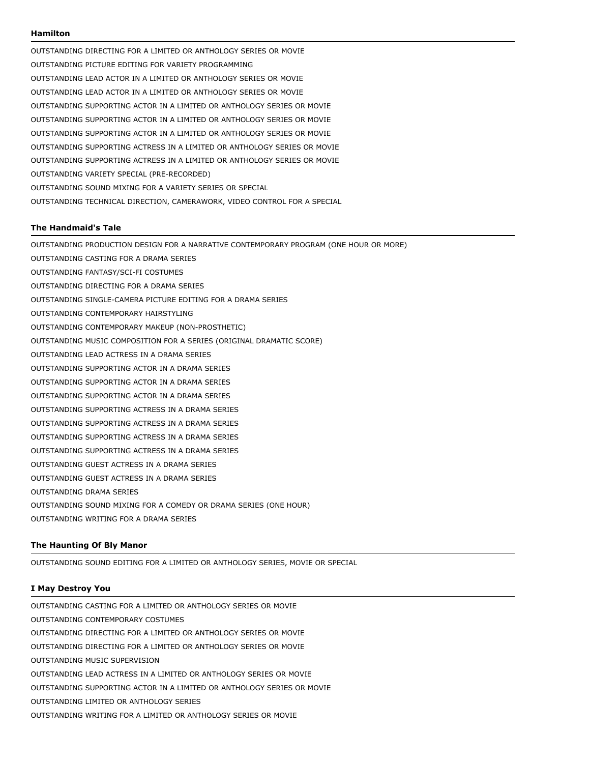#### **Hamilton**

OUTSTANDING DIRECTING FOR A LIMITED OR ANTHOLOGY SERIES OR MOVIE OUTSTANDING PICTURE EDITING FOR VARIETY PROGRAMMING OUTSTANDING LEAD ACTOR IN A LIMITED OR ANTHOLOGY SERIES OR MOVIE OUTSTANDING LEAD ACTOR IN A LIMITED OR ANTHOLOGY SERIES OR MOVIE OUTSTANDING SUPPORTING ACTOR IN A LIMITED OR ANTHOLOGY SERIES OR MOVIE OUTSTANDING SUPPORTING ACTOR IN A LIMITED OR ANTHOLOGY SERIES OR MOVIE OUTSTANDING SUPPORTING ACTOR IN A LIMITED OR ANTHOLOGY SERIES OR MOVIE OUTSTANDING SUPPORTING ACTRESS IN A LIMITED OR ANTHOLOGY SERIES OR MOVIE OUTSTANDING SUPPORTING ACTRESS IN A LIMITED OR ANTHOLOGY SERIES OR MOVIE OUTSTANDING VARIETY SPECIAL (PRE-RECORDED) OUTSTANDING SOUND MIXING FOR A VARIETY SERIES OR SPECIAL OUTSTANDING TECHNICAL DIRECTION, CAMERAWORK, VIDEO CONTROL FOR A SPECIAL

#### **The Handmaid's Tale**

OUTSTANDING PRODUCTION DESIGN FOR A NARRATIVE CONTEMPORARY PROGRAM (ONE HOUR OR MORE) OUTSTANDING CASTING FOR A DRAMA SERIES OUTSTANDING FANTASY/SCI-FI COSTUMES OUTSTANDING DIRECTING FOR A DRAMA SERIES OUTSTANDING SINGLE-CAMERA PICTURE EDITING FOR A DRAMA SERIES OUTSTANDING CONTEMPORARY HAIRSTYLING OUTSTANDING CONTEMPORARY MAKEUP (NON-PROSTHETIC) OUTSTANDING MUSIC COMPOSITION FOR A SERIES (ORIGINAL DRAMATIC SCORE) OUTSTANDING LEAD ACTRESS IN A DRAMA SERIES OUTSTANDING SUPPORTING ACTOR IN A DRAMA SERIES OUTSTANDING SUPPORTING ACTOR IN A DRAMA SERIES OUTSTANDING SUPPORTING ACTOR IN A DRAMA SERIES OUTSTANDING SUPPORTING ACTRESS IN A DRAMA SERIES OUTSTANDING SUPPORTING ACTRESS IN A DRAMA SERIES OUTSTANDING SUPPORTING ACTRESS IN A DRAMA SERIES OUTSTANDING SUPPORTING ACTRESS IN A DRAMA SERIES OUTSTANDING GUEST ACTRESS IN A DRAMA SERIES OUTSTANDING GUEST ACTRESS IN A DRAMA SERIES OUTSTANDING DRAMA SERIES OUTSTANDING SOUND MIXING FOR A COMEDY OR DRAMA SERIES (ONE HOUR) OUTSTANDING WRITING FOR A DRAMA SERIES

## **The Haunting Of Bly Manor**

OUTSTANDING SOUND EDITING FOR A LIMITED OR ANTHOLOGY SERIES, MOVIE OR SPECIAL

### **I May Destroy You**

OUTSTANDING CASTING FOR A LIMITED OR ANTHOLOGY SERIES OR MOVIE OUTSTANDING CONTEMPORARY COSTUMES OUTSTANDING DIRECTING FOR A LIMITED OR ANTHOLOGY SERIES OR MOVIE OUTSTANDING DIRECTING FOR A LIMITED OR ANTHOLOGY SERIES OR MOVIE OUTSTANDING MUSIC SUPERVISION OUTSTANDING LEAD ACTRESS IN A LIMITED OR ANTHOLOGY SERIES OR MOVIE OUTSTANDING SUPPORTING ACTOR IN A LIMITED OR ANTHOLOGY SERIES OR MOVIE OUTSTANDING LIMITED OR ANTHOLOGY SERIES OUTSTANDING WRITING FOR A LIMITED OR ANTHOLOGY SERIES OR MOVIE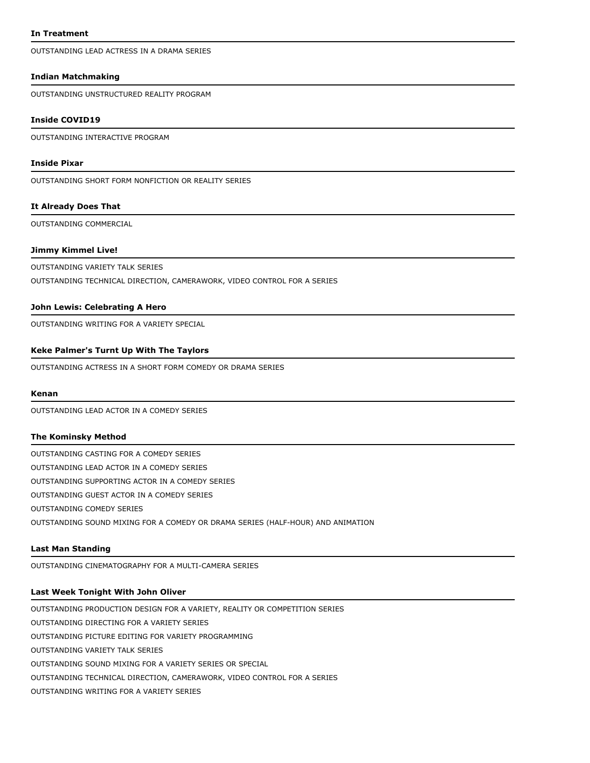OUTSTANDING LEAD ACTRESS IN A DRAMA SERIES

#### **Indian Matchmaking**

OUTSTANDING UNSTRUCTURED REALITY PROGRAM

#### **Inside COVID19**

OUTSTANDING INTERACTIVE PROGRAM

#### **Inside Pixar**

OUTSTANDING SHORT FORM NONFICTION OR REALITY SERIES

## **It Already Does That**

OUTSTANDING COMMERCIAL

## **Jimmy Kimmel Live!**

OUTSTANDING VARIETY TALK SERIES

OUTSTANDING TECHNICAL DIRECTION, CAMERAWORK, VIDEO CONTROL FOR A SERIES

#### **John Lewis: Celebrating A Hero**

OUTSTANDING WRITING FOR A VARIETY SPECIAL

#### **Keke Palmer's Turnt Up With The Taylors**

OUTSTANDING ACTRESS IN A SHORT FORM COMEDY OR DRAMA SERIES

#### **Kenan**

OUTSTANDING LEAD ACTOR IN A COMEDY SERIES

#### **The Kominsky Method**

OUTSTANDING CASTING FOR A COMEDY SERIES OUTSTANDING LEAD ACTOR IN A COMEDY SERIES OUTSTANDING SUPPORTING ACTOR IN A COMEDY SERIES OUTSTANDING GUEST ACTOR IN A COMEDY SERIES OUTSTANDING COMEDY SERIES OUTSTANDING SOUND MIXING FOR A COMEDY OR DRAMA SERIES (HALF-HOUR) AND ANIMATION

#### **Last Man Standing**

OUTSTANDING CINEMATOGRAPHY FOR A MULTI-CAMERA SERIES

## **Last Week Tonight With John Oliver**

OUTSTANDING PRODUCTION DESIGN FOR A VARIETY, REALITY OR COMPETITION SERIES OUTSTANDING DIRECTING FOR A VARIETY SERIES OUTSTANDING PICTURE EDITING FOR VARIETY PROGRAMMING OUTSTANDING VARIETY TALK SERIES OUTSTANDING SOUND MIXING FOR A VARIETY SERIES OR SPECIAL OUTSTANDING TECHNICAL DIRECTION, CAMERAWORK, VIDEO CONTROL FOR A SERIES OUTSTANDING WRITING FOR A VARIETY SERIES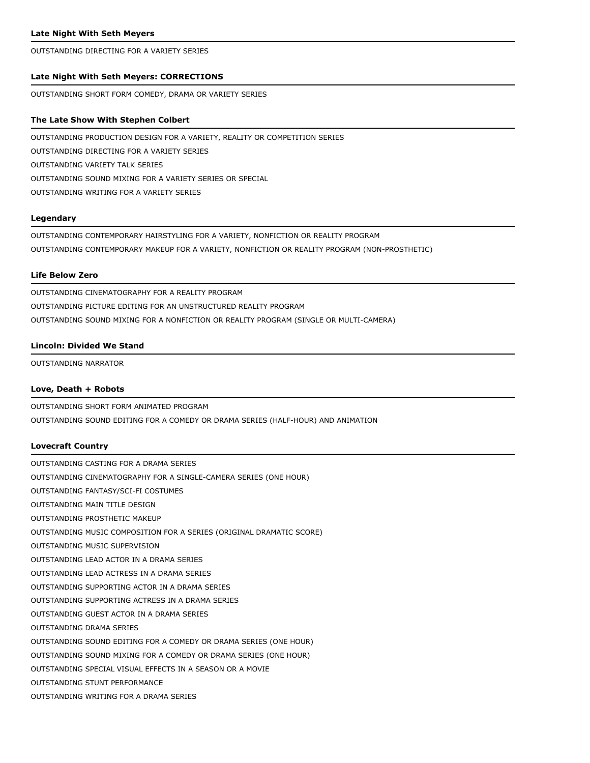OUTSTANDING DIRECTING FOR A VARIETY SERIES

#### **Late Night With Seth Meyers: CORRECTIONS**

OUTSTANDING SHORT FORM COMEDY, DRAMA OR VARIETY SERIES

#### **The Late Show With Stephen Colbert**

OUTSTANDING PRODUCTION DESIGN FOR A VARIETY, REALITY OR COMPETITION SERIES OUTSTANDING DIRECTING FOR A VARIETY SERIES OUTSTANDING VARIETY TALK SERIES OUTSTANDING SOUND MIXING FOR A VARIETY SERIES OR SPECIAL OUTSTANDING WRITING FOR A VARIETY SERIES

## **Legendary**

OUTSTANDING CONTEMPORARY HAIRSTYLING FOR A VARIETY, NONFICTION OR REALITY PROGRAM OUTSTANDING CONTEMPORARY MAKEUP FOR A VARIETY, NONFICTION OR REALITY PROGRAM (NON-PROSTHETIC)

### **Life Below Zero**

OUTSTANDING CINEMATOGRAPHY FOR A REALITY PROGRAM OUTSTANDING PICTURE EDITING FOR AN UNSTRUCTURED REALITY PROGRAM OUTSTANDING SOUND MIXING FOR A NONFICTION OR REALITY PROGRAM (SINGLE OR MULTI-CAMERA)

#### **Lincoln: Divided We Stand**

OUTSTANDING NARRATOR

#### **Love, Death + Robots**

OUTSTANDING SHORT FORM ANIMATED PROGRAM OUTSTANDING SOUND EDITING FOR A COMEDY OR DRAMA SERIES (HALF-HOUR) AND ANIMATION

#### **Lovecraft Country**

OUTSTANDING CASTING FOR A DRAMA SERIES OUTSTANDING CINEMATOGRAPHY FOR A SINGLE-CAMERA SERIES (ONE HOUR) OUTSTANDING FANTASY/SCI-FI COSTUMES OUTSTANDING MAIN TITLE DESIGN OUTSTANDING PROSTHETIC MAKEUP OUTSTANDING MUSIC COMPOSITION FOR A SERIES (ORIGINAL DRAMATIC SCORE) OUTSTANDING MUSIC SUPERVISION OUTSTANDING LEAD ACTOR IN A DRAMA SERIES OUTSTANDING LEAD ACTRESS IN A DRAMA SERIES OUTSTANDING SUPPORTING ACTOR IN A DRAMA SERIES OUTSTANDING SUPPORTING ACTRESS IN A DRAMA SERIES OUTSTANDING GUEST ACTOR IN A DRAMA SERIES OUTSTANDING DRAMA SERIES OUTSTANDING SOUND EDITING FOR A COMEDY OR DRAMA SERIES (ONE HOUR) OUTSTANDING SOUND MIXING FOR A COMEDY OR DRAMA SERIES (ONE HOUR) OUTSTANDING SPECIAL VISUAL EFFECTS IN A SEASON OR A MOVIE OUTSTANDING STUNT PERFORMANCE OUTSTANDING WRITING FOR A DRAMA SERIES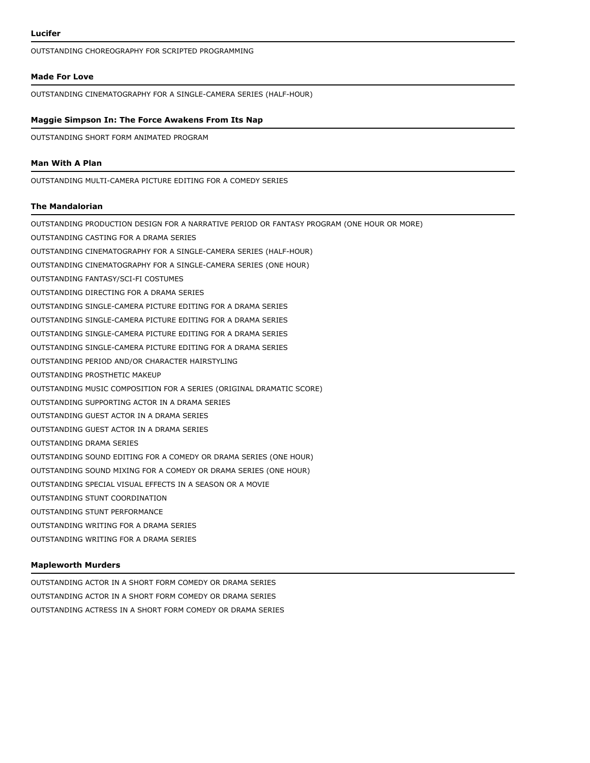OUTSTANDING CHOREOGRAPHY FOR SCRIPTED PROGRAMMING

#### **Made For Love**

OUTSTANDING CINEMATOGRAPHY FOR A SINGLE-CAMERA SERIES (HALF-HOUR)

#### **Maggie Simpson In: The Force Awakens From Its Nap**

OUTSTANDING SHORT FORM ANIMATED PROGRAM

## **Man With A Plan**

OUTSTANDING MULTI-CAMERA PICTURE EDITING FOR A COMEDY SERIES

### **The Mandalorian**

OUTSTANDING PRODUCTION DESIGN FOR A NARRATIVE PERIOD OR FANTASY PROGRAM (ONE HOUR OR MORE) OUTSTANDING CASTING FOR A DRAMA SERIES OUTSTANDING CINEMATOGRAPHY FOR A SINGLE-CAMERA SERIES (HALF-HOUR) OUTSTANDING CINEMATOGRAPHY FOR A SINGLE-CAMERA SERIES (ONE HOUR) OUTSTANDING FANTASY/SCI-FI COSTUMES OUTSTANDING DIRECTING FOR A DRAMA SERIES OUTSTANDING SINGLE-CAMERA PICTURE EDITING FOR A DRAMA SERIES OUTSTANDING SINGLE-CAMERA PICTURE EDITING FOR A DRAMA SERIES OUTSTANDING SINGLE-CAMERA PICTURE EDITING FOR A DRAMA SERIES OUTSTANDING SINGLE-CAMERA PICTURE EDITING FOR A DRAMA SERIES OUTSTANDING PERIOD AND/OR CHARACTER HAIRSTYLING OUTSTANDING PROSTHETIC MAKEUP OUTSTANDING MUSIC COMPOSITION FOR A SERIES (ORIGINAL DRAMATIC SCORE) OUTSTANDING SUPPORTING ACTOR IN A DRAMA SERIES OUTSTANDING GUEST ACTOR IN A DRAMA SERIES OUTSTANDING GUEST ACTOR IN A DRAMA SERIES OUTSTANDING DRAMA SERIES OUTSTANDING SOUND EDITING FOR A COMEDY OR DRAMA SERIES (ONE HOUR) OUTSTANDING SOUND MIXING FOR A COMEDY OR DRAMA SERIES (ONE HOUR) OUTSTANDING SPECIAL VISUAL EFFECTS IN A SEASON OR A MOVIE OUTSTANDING STUNT COORDINATION OUTSTANDING STUNT PERFORMANCE OUTSTANDING WRITING FOR A DRAMA SERIES OUTSTANDING WRITING FOR A DRAMA SERIES

## **Mapleworth Murders**

OUTSTANDING ACTOR IN A SHORT FORM COMEDY OR DRAMA SERIES OUTSTANDING ACTOR IN A SHORT FORM COMEDY OR DRAMA SERIES OUTSTANDING ACTRESS IN A SHORT FORM COMEDY OR DRAMA SERIES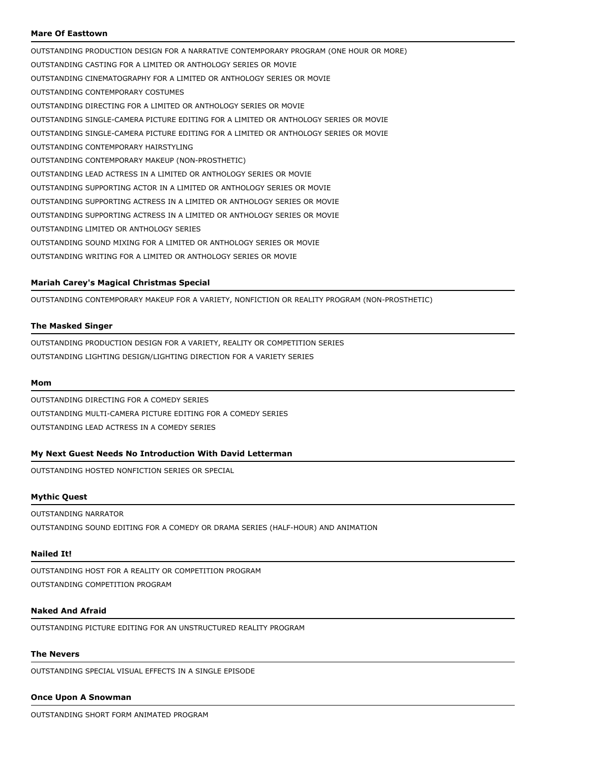## **Mare Of Easttown**

OUTSTANDING PRODUCTION DESIGN FOR A NARRATIVE CONTEMPORARY PROGRAM (ONE HOUR OR MORE) OUTSTANDING CASTING FOR A LIMITED OR ANTHOLOGY SERIES OR MOVIE OUTSTANDING CINEMATOGRAPHY FOR A LIMITED OR ANTHOLOGY SERIES OR MOVIE OUTSTANDING CONTEMPORARY COSTUMES OUTSTANDING DIRECTING FOR A LIMITED OR ANTHOLOGY SERIES OR MOVIE OUTSTANDING SINGLE-CAMERA PICTURE EDITING FOR A LIMITED OR ANTHOLOGY SERIES OR MOVIE OUTSTANDING SINGLE-CAMERA PICTURE EDITING FOR A LIMITED OR ANTHOLOGY SERIES OR MOVIE OUTSTANDING CONTEMPORARY HAIRSTYLING OUTSTANDING CONTEMPORARY MAKEUP (NON-PROSTHETIC) OUTSTANDING LEAD ACTRESS IN A LIMITED OR ANTHOLOGY SERIES OR MOVIE OUTSTANDING SUPPORTING ACTOR IN A LIMITED OR ANTHOLOGY SERIES OR MOVIE OUTSTANDING SUPPORTING ACTRESS IN A LIMITED OR ANTHOLOGY SERIES OR MOVIE OUTSTANDING SUPPORTING ACTRESS IN A LIMITED OR ANTHOLOGY SERIES OR MOVIE OUTSTANDING LIMITED OR ANTHOLOGY SERIES OUTSTANDING SOUND MIXING FOR A LIMITED OR ANTHOLOGY SERIES OR MOVIE OUTSTANDING WRITING FOR A LIMITED OR ANTHOLOGY SERIES OR MOVIE

### **Mariah Carey's Magical Christmas Special**

OUTSTANDING CONTEMPORARY MAKEUP FOR A VARIETY, NONFICTION OR REALITY PROGRAM (NON-PROSTHETIC)

### **The Masked Singer**

OUTSTANDING PRODUCTION DESIGN FOR A VARIETY, REALITY OR COMPETITION SERIES OUTSTANDING LIGHTING DESIGN/LIGHTING DIRECTION FOR A VARIETY SERIES

#### **Mom**

OUTSTANDING DIRECTING FOR A COMEDY SERIES OUTSTANDING MULTI-CAMERA PICTURE EDITING FOR A COMEDY SERIES OUTSTANDING LEAD ACTRESS IN A COMEDY SERIES

### **My Next Guest Needs No Introduction With David Letterman**

OUTSTANDING HOSTED NONFICTION SERIES OR SPECIAL

#### **Mythic Quest**

#### OUTSTANDING NARRATOR

OUTSTANDING SOUND EDITING FOR A COMEDY OR DRAMA SERIES (HALF-HOUR) AND ANIMATION

#### **Nailed It!**

OUTSTANDING HOST FOR A REALITY OR COMPETITION PROGRAM OUTSTANDING COMPETITION PROGRAM

## **Naked And Afraid**

OUTSTANDING PICTURE EDITING FOR AN UNSTRUCTURED REALITY PROGRAM

## **The Nevers**

OUTSTANDING SPECIAL VISUAL EFFECTS IN A SINGLE EPISODE

#### **Once Upon A Snowman**

OUTSTANDING SHORT FORM ANIMATED PROGRAM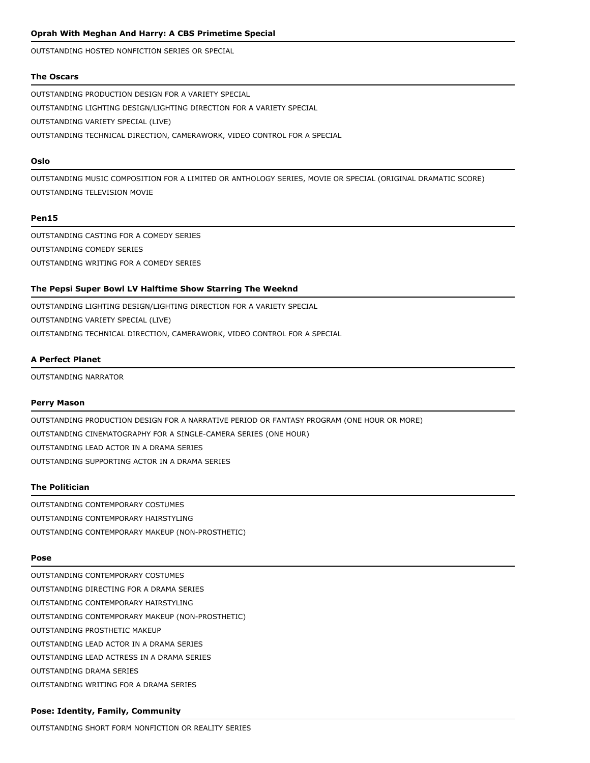OUTSTANDING HOSTED NONFICTION SERIES OR SPECIAL

## **The Oscars**

OUTSTANDING PRODUCTION DESIGN FOR A VARIETY SPECIAL OUTSTANDING LIGHTING DESIGN/LIGHTING DIRECTION FOR A VARIETY SPECIAL OUTSTANDING VARIETY SPECIAL (LIVE) OUTSTANDING TECHNICAL DIRECTION, CAMERAWORK, VIDEO CONTROL FOR A SPECIAL

## **Oslo**

OUTSTANDING MUSIC COMPOSITION FOR A LIMITED OR ANTHOLOGY SERIES, MOVIE OR SPECIAL (ORIGINAL DRAMATIC SCORE) OUTSTANDING TELEVISION MOVIE

## **Pen15**

OUTSTANDING CASTING FOR A COMEDY SERIES OUTSTANDING COMEDY SERIES OUTSTANDING WRITING FOR A COMEDY SERIES

## **The Pepsi Super Bowl LV Halftime Show Starring The Weeknd**

OUTSTANDING LIGHTING DESIGN/LIGHTING DIRECTION FOR A VARIETY SPECIAL OUTSTANDING VARIETY SPECIAL (LIVE) OUTSTANDING TECHNICAL DIRECTION, CAMERAWORK, VIDEO CONTROL FOR A SPECIAL

## **A Perfect Planet**

OUTSTANDING NARRATOR

## **Perry Mason**

OUTSTANDING PRODUCTION DESIGN FOR A NARRATIVE PERIOD OR FANTASY PROGRAM (ONE HOUR OR MORE) OUTSTANDING CINEMATOGRAPHY FOR A SINGLE-CAMERA SERIES (ONE HOUR) OUTSTANDING LEAD ACTOR IN A DRAMA SERIES OUTSTANDING SUPPORTING ACTOR IN A DRAMA SERIES

## **The Politician**

OUTSTANDING CONTEMPORARY COSTUMES OUTSTANDING CONTEMPORARY HAIRSTYLING OUTSTANDING CONTEMPORARY MAKEUP (NON-PROSTHETIC)

## **Pose**

OUTSTANDING CONTEMPORARY COSTUMES OUTSTANDING DIRECTING FOR A DRAMA SERIES OUTSTANDING CONTEMPORARY HAIRSTYLING OUTSTANDING CONTEMPORARY MAKEUP (NON-PROSTHETIC) OUTSTANDING PROSTHETIC MAKEUP OUTSTANDING LEAD ACTOR IN A DRAMA SERIES OUTSTANDING LEAD ACTRESS IN A DRAMA SERIES OUTSTANDING DRAMA SERIES OUTSTANDING WRITING FOR A DRAMA SERIES

### **Pose: Identity, Family, Community**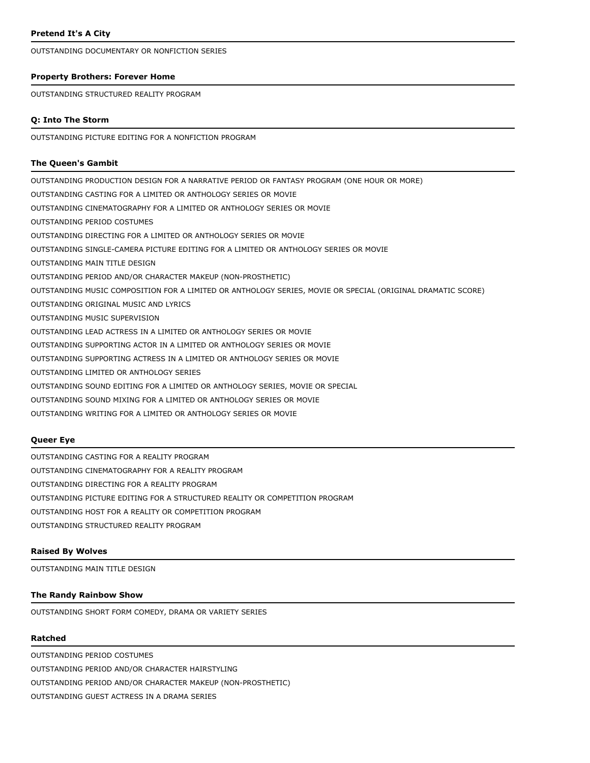OUTSTANDING DOCUMENTARY OR NONFICTION SERIES

#### **Property Brothers: Forever Home**

OUTSTANDING STRUCTURED REALITY PROGRAM

### **Q: Into The Storm**

OUTSTANDING PICTURE EDITING FOR A NONFICTION PROGRAM

## **The Queen's Gambit**

OUTSTANDING PRODUCTION DESIGN FOR A NARRATIVE PERIOD OR FANTASY PROGRAM (ONE HOUR OR MORE) OUTSTANDING CASTING FOR A LIMITED OR ANTHOLOGY SERIES OR MOVIE OUTSTANDING CINEMATOGRAPHY FOR A LIMITED OR ANTHOLOGY SERIES OR MOVIE OUTSTANDING PERIOD COSTUMES OUTSTANDING DIRECTING FOR A LIMITED OR ANTHOLOGY SERIES OR MOVIE OUTSTANDING SINGLE-CAMERA PICTURE EDITING FOR A LIMITED OR ANTHOLOGY SERIES OR MOVIE OUTSTANDING MAIN TITLE DESIGN OUTSTANDING PERIOD AND/OR CHARACTER MAKEUP (NON-PROSTHETIC) OUTSTANDING MUSIC COMPOSITION FOR A LIMITED OR ANTHOLOGY SERIES, MOVIE OR SPECIAL (ORIGINAL DRAMATIC SCORE) OUTSTANDING ORIGINAL MUSIC AND LYRICS OUTSTANDING MUSIC SUPERVISION OUTSTANDING LEAD ACTRESS IN A LIMITED OR ANTHOLOGY SERIES OR MOVIE OUTSTANDING SUPPORTING ACTOR IN A LIMITED OR ANTHOLOGY SERIES OR MOVIE OUTSTANDING SUPPORTING ACTRESS IN A LIMITED OR ANTHOLOGY SERIES OR MOVIE OUTSTANDING LIMITED OR ANTHOLOGY SERIES OUTSTANDING SOUND EDITING FOR A LIMITED OR ANTHOLOGY SERIES, MOVIE OR SPECIAL OUTSTANDING SOUND MIXING FOR A LIMITED OR ANTHOLOGY SERIES OR MOVIE OUTSTANDING WRITING FOR A LIMITED OR ANTHOLOGY SERIES OR MOVIE

## **Queer Eye**

OUTSTANDING CASTING FOR A REALITY PROGRAM OUTSTANDING CINEMATOGRAPHY FOR A REALITY PROGRAM OUTSTANDING DIRECTING FOR A REALITY PROGRAM OUTSTANDING PICTURE EDITING FOR A STRUCTURED REALITY OR COMPETITION PROGRAM OUTSTANDING HOST FOR A REALITY OR COMPETITION PROGRAM OUTSTANDING STRUCTURED REALITY PROGRAM

#### **Raised By Wolves**

OUTSTANDING MAIN TITLE DESIGN

## **The Randy Rainbow Show**

OUTSTANDING SHORT FORM COMEDY, DRAMA OR VARIETY SERIES

#### **Ratched**

OUTSTANDING PERIOD COSTUMES OUTSTANDING PERIOD AND/OR CHARACTER HAIRSTYLING OUTSTANDING PERIOD AND/OR CHARACTER MAKEUP (NON-PROSTHETIC) OUTSTANDING GUEST ACTRESS IN A DRAMA SERIES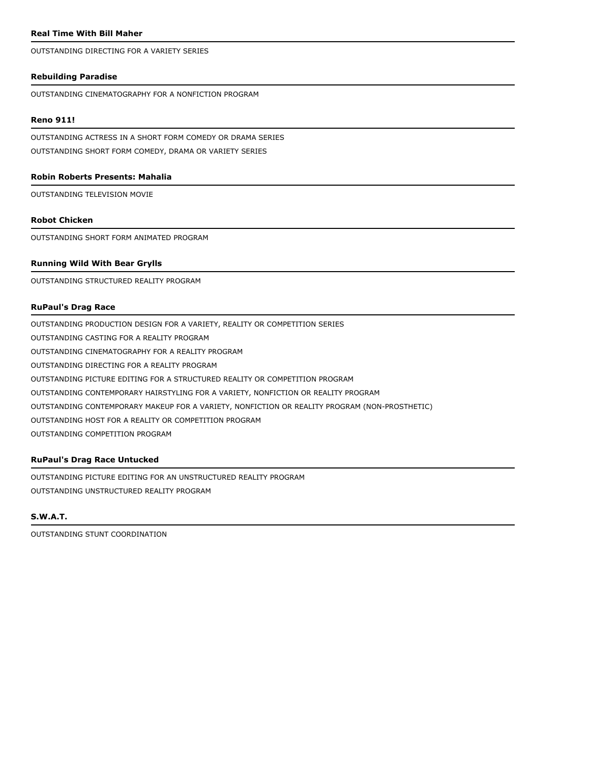## **Real Time With Bill Maher**

OUTSTANDING DIRECTING FOR A VARIETY SERIES

## **Rebuilding Paradise**

OUTSTANDING CINEMATOGRAPHY FOR A NONFICTION PROGRAM

### **Reno 911!**

OUTSTANDING ACTRESS IN A SHORT FORM COMEDY OR DRAMA SERIES OUTSTANDING SHORT FORM COMEDY, DRAMA OR VARIETY SERIES

### **Robin Roberts Presents: Mahalia**

OUTSTANDING TELEVISION MOVIE

### **Robot Chicken**

OUTSTANDING SHORT FORM ANIMATED PROGRAM

## **Running Wild With Bear Grylls**

OUTSTANDING STRUCTURED REALITY PROGRAM

### **RuPaul's Drag Race**

OUTSTANDING PRODUCTION DESIGN FOR A VARIETY, REALITY OR COMPETITION SERIES OUTSTANDING CASTING FOR A REALITY PROGRAM OUTSTANDING CINEMATOGRAPHY FOR A REALITY PROGRAM OUTSTANDING DIRECTING FOR A REALITY PROGRAM OUTSTANDING PICTURE EDITING FOR A STRUCTURED REALITY OR COMPETITION PROGRAM OUTSTANDING CONTEMPORARY HAIRSTYLING FOR A VARIETY, NONFICTION OR REALITY PROGRAM OUTSTANDING CONTEMPORARY MAKEUP FOR A VARIETY, NONFICTION OR REALITY PROGRAM (NON-PROSTHETIC) OUTSTANDING HOST FOR A REALITY OR COMPETITION PROGRAM OUTSTANDING COMPETITION PROGRAM

## **RuPaul's Drag Race Untucked**

OUTSTANDING PICTURE EDITING FOR AN UNSTRUCTURED REALITY PROGRAM OUTSTANDING UNSTRUCTURED REALITY PROGRAM

# **S.W.A.T.**

OUTSTANDING STUNT COORDINATION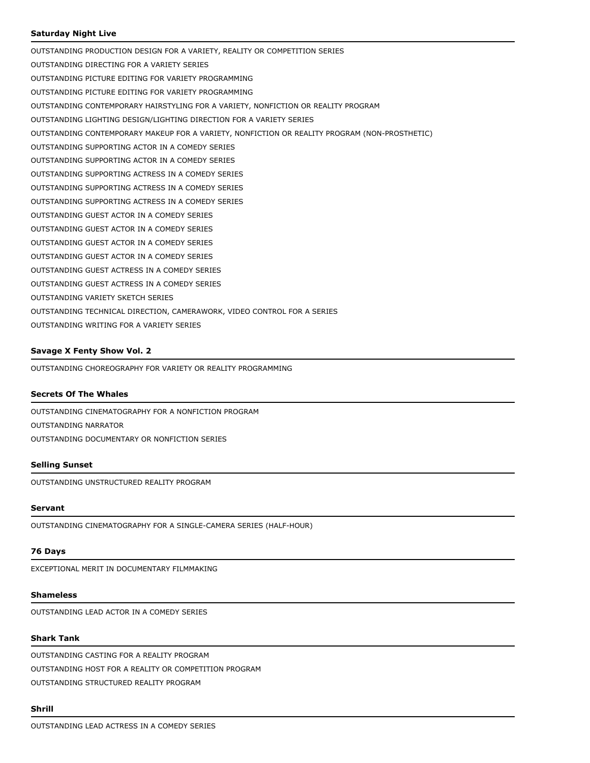## **Saturday Night Live**

OUTSTANDING PRODUCTION DESIGN FOR A VARIETY, REALITY OR COMPETITION SERIES OUTSTANDING DIRECTING FOR A VARIETY SERIES OUTSTANDING PICTURE EDITING FOR VARIETY PROGRAMMING OUTSTANDING PICTURE EDITING FOR VARIETY PROGRAMMING OUTSTANDING CONTEMPORARY HAIRSTYLING FOR A VARIETY, NONFICTION OR REALITY PROGRAM OUTSTANDING LIGHTING DESIGN/LIGHTING DIRECTION FOR A VARIETY SERIES OUTSTANDING CONTEMPORARY MAKEUP FOR A VARIETY, NONFICTION OR REALITY PROGRAM (NON-PROSTHETIC) OUTSTANDING SUPPORTING ACTOR IN A COMEDY SERIES OUTSTANDING SUPPORTING ACTOR IN A COMEDY SERIES OUTSTANDING SUPPORTING ACTRESS IN A COMEDY SERIES OUTSTANDING SUPPORTING ACTRESS IN A COMEDY SERIES OUTSTANDING SUPPORTING ACTRESS IN A COMEDY SERIES OUTSTANDING GUEST ACTOR IN A COMEDY SERIES OUTSTANDING GUEST ACTOR IN A COMEDY SERIES OUTSTANDING GUEST ACTOR IN A COMEDY SERIES OUTSTANDING GUEST ACTOR IN A COMEDY SERIES OUTSTANDING GUEST ACTRESS IN A COMEDY SERIES OUTSTANDING GUEST ACTRESS IN A COMEDY SERIES OUTSTANDING VARIETY SKETCH SERIES OUTSTANDING TECHNICAL DIRECTION, CAMERAWORK, VIDEO CONTROL FOR A SERIES OUTSTANDING WRITING FOR A VARIETY SERIES

### **Savage X Fenty Show Vol. 2**

OUTSTANDING CHOREOGRAPHY FOR VARIETY OR REALITY PROGRAMMING

## **Secrets Of The Whales**

OUTSTANDING CINEMATOGRAPHY FOR A NONFICTION PROGRAM OUTSTANDING NARRATOR OUTSTANDING DOCUMENTARY OR NONFICTION SERIES

### **Selling Sunset**

OUTSTANDING UNSTRUCTURED REALITY PROGRAM

#### **Servant**

OUTSTANDING CINEMATOGRAPHY FOR A SINGLE-CAMERA SERIES (HALF-HOUR)

#### **76 Days**

EXCEPTIONAL MERIT IN DOCUMENTARY FILMMAKING

# **Shameless**

OUTSTANDING LEAD ACTOR IN A COMEDY SERIES

## **Shark Tank**

OUTSTANDING CASTING FOR A REALITY PROGRAM OUTSTANDING HOST FOR A REALITY OR COMPETITION PROGRAM OUTSTANDING STRUCTURED REALITY PROGRAM

## **Shrill**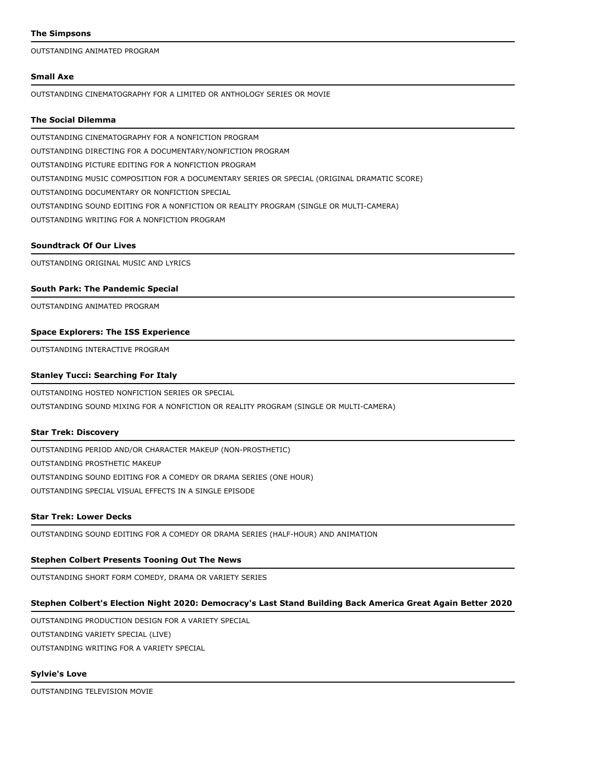### **The Simpsons**

OUTSTANDING ANIMATED PROGRAM

### **Small Axe**

OUTSTANDING CINEMATOGRAPHY FOR A LIMITED OR ANTHOLOGY SERIES OR MOVIE

### **The Social Dilemma**

OUTSTANDING CINEMATOGRAPHY FOR A NONFICTION PROGRAM OUTSTANDING DIRECTING FOR A DOCUMENTARY/NONFICTION PROGRAM OUTSTANDING PICTURE EDITING FOR A NONFICTION PROGRAM OUTSTANDING MUSIC COMPOSITION FOR A DOCUMENTARY SERIES OR SPECIAL (ORIGINAL DRAMATIC SCORE) OUTSTANDING DOCUMENTARY OR NONFICTION SPECIAL OUTSTANDING SOUND EDITING FOR A NONFICTION OR REALITY PROGRAM (SINGLE OR MULTI-CAMERA) OUTSTANDING WRITING FOR A NONFICTION PROGRAM

### **Soundtrack Of Our Lives**

OUTSTANDING ORIGINAL MUSIC AND LYRICS

### **South Park: The Pandemic Special**

OUTSTANDING ANIMATED PROGRAM

### **Space Explorers: The ISS Experience**

OUTSTANDING INTERACTIVE PROGRAM

## **Stanley Tucci: Searching For Italy**

OUTSTANDING HOSTED NONFICTION SERIES OR SPECIAL OUTSTANDING SOUND MIXING FOR A NONFICTION OR REALITY PROGRAM (SINGLE OR MULTI-CAMERA)

### **Star Trek: Discovery**

OUTSTANDING PERIOD AND/OR CHARACTER MAKEUP (NON-PROSTHETIC) OUTSTANDING PROSTHETIC MAKEUP OUTSTANDING SOUND EDITING FOR A COMEDY OR DRAMA SERIES (ONE HOUR) OUTSTANDING SPECIAL VISUAL EFFECTS IN A SINGLE EPISODE

### **Star Trek: Lower Decks**

OUTSTANDING SOUND EDITING FOR A COMEDY OR DRAMA SERIES (HALF-HOUR) AND ANIMATION

### **Stephen Colbert Presents Tooning Out The News**

OUTSTANDING SHORT FORM COMEDY, DRAMA OR VARIETY SERIES

## **Stephen Colbert's Election Night 2020: Democracy's Last Stand Building Back America Great Again Better 2020**

OUTSTANDING PRODUCTION DESIGN FOR A VARIETY SPECIAL OUTSTANDING VARIETY SPECIAL (LIVE) OUTSTANDING WRITING FOR A VARIETY SPECIAL

### **Sylvie's Love**

OUTSTANDING TELEVISION MOVIE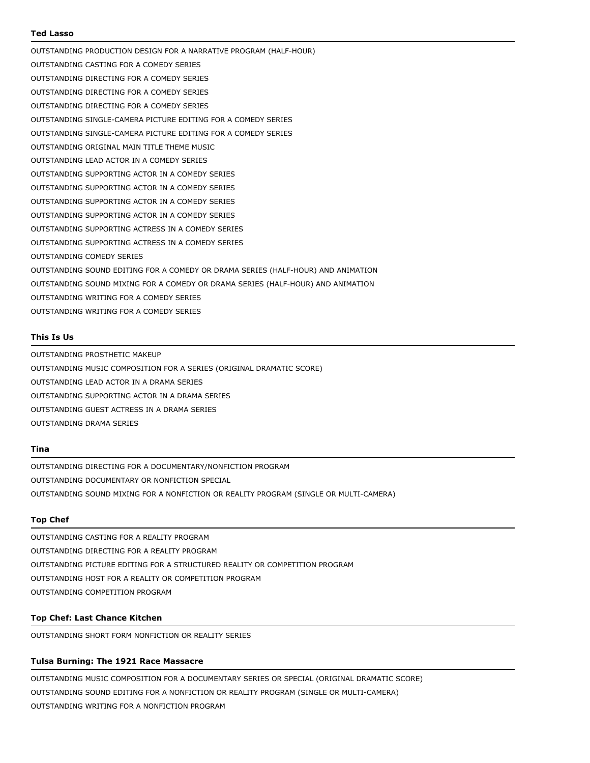### **Ted Lasso**

OUTSTANDING PRODUCTION DESIGN FOR A NARRATIVE PROGRAM (HALF-HOUR) OUTSTANDING CASTING FOR A COMEDY SERIES OUTSTANDING DIRECTING FOR A COMEDY SERIES OUTSTANDING DIRECTING FOR A COMEDY SERIES OUTSTANDING DIRECTING FOR A COMEDY SERIES OUTSTANDING SINGLE-CAMERA PICTURE EDITING FOR A COMEDY SERIES OUTSTANDING SINGLE-CAMERA PICTURE EDITING FOR A COMEDY SERIES OUTSTANDING ORIGINAL MAIN TITLE THEME MUSIC OUTSTANDING LEAD ACTOR IN A COMEDY SERIES OUTSTANDING SUPPORTING ACTOR IN A COMEDY SERIES OUTSTANDING SUPPORTING ACTOR IN A COMEDY SERIES OUTSTANDING SUPPORTING ACTOR IN A COMEDY SERIES OUTSTANDING SUPPORTING ACTOR IN A COMEDY SERIES OUTSTANDING SUPPORTING ACTRESS IN A COMEDY SERIES OUTSTANDING SUPPORTING ACTRESS IN A COMEDY SERIES OUTSTANDING COMEDY SERIES OUTSTANDING SOUND EDITING FOR A COMEDY OR DRAMA SERIES (HALF-HOUR) AND ANIMATION OUTSTANDING SOUND MIXING FOR A COMEDY OR DRAMA SERIES (HALF-HOUR) AND ANIMATION OUTSTANDING WRITING FOR A COMEDY SERIES OUTSTANDING WRITING FOR A COMEDY SERIES

### **This Is Us**

OUTSTANDING PROSTHETIC MAKEUP OUTSTANDING MUSIC COMPOSITION FOR A SERIES (ORIGINAL DRAMATIC SCORE) OUTSTANDING LEAD ACTOR IN A DRAMA SERIES OUTSTANDING SUPPORTING ACTOR IN A DRAMA SERIES OUTSTANDING GUEST ACTRESS IN A DRAMA SERIES OUTSTANDING DRAMA SERIES

#### **Tina**

OUTSTANDING DIRECTING FOR A DOCUMENTARY/NONFICTION PROGRAM OUTSTANDING DOCUMENTARY OR NONFICTION SPECIAL OUTSTANDING SOUND MIXING FOR A NONFICTION OR REALITY PROGRAM (SINGLE OR MULTI-CAMERA)

## **Top Chef**

OUTSTANDING CASTING FOR A REALITY PROGRAM OUTSTANDING DIRECTING FOR A REALITY PROGRAM OUTSTANDING PICTURE EDITING FOR A STRUCTURED REALITY OR COMPETITION PROGRAM OUTSTANDING HOST FOR A REALITY OR COMPETITION PROGRAM OUTSTANDING COMPETITION PROGRAM

### **Top Chef: Last Chance Kitchen**

OUTSTANDING SHORT FORM NONFICTION OR REALITY SERIES

## **Tulsa Burning: The 1921 Race Massacre**

OUTSTANDING MUSIC COMPOSITION FOR A DOCUMENTARY SERIES OR SPECIAL (ORIGINAL DRAMATIC SCORE) OUTSTANDING SOUND EDITING FOR A NONFICTION OR REALITY PROGRAM (SINGLE OR MULTI-CAMERA) OUTSTANDING WRITING FOR A NONFICTION PROGRAM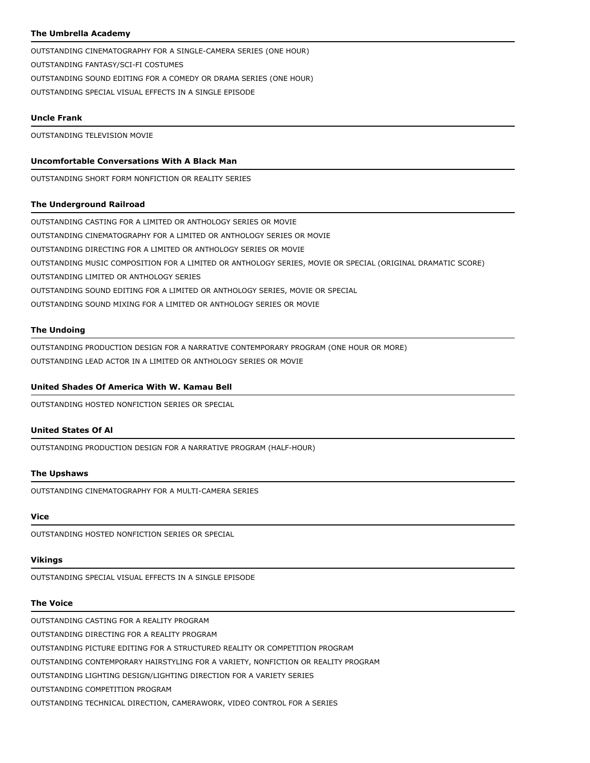## **The Umbrella Academy**

OUTSTANDING CINEMATOGRAPHY FOR A SINGLE-CAMERA SERIES (ONE HOUR) OUTSTANDING FANTASY/SCI-FI COSTUMES OUTSTANDING SOUND EDITING FOR A COMEDY OR DRAMA SERIES (ONE HOUR) OUTSTANDING SPECIAL VISUAL EFFECTS IN A SINGLE EPISODE

## **Uncle Frank**

OUTSTANDING TELEVISION MOVIE

## **Uncomfortable Conversations With A Black Man**

OUTSTANDING SHORT FORM NONFICTION OR REALITY SERIES

### **The Underground Railroad**

OUTSTANDING CASTING FOR A LIMITED OR ANTHOLOGY SERIES OR MOVIE OUTSTANDING CINEMATOGRAPHY FOR A LIMITED OR ANTHOLOGY SERIES OR MOVIE OUTSTANDING DIRECTING FOR A LIMITED OR ANTHOLOGY SERIES OR MOVIE OUTSTANDING MUSIC COMPOSITION FOR A LIMITED OR ANTHOLOGY SERIES, MOVIE OR SPECIAL (ORIGINAL DRAMATIC SCORE) OUTSTANDING LIMITED OR ANTHOLOGY SERIES OUTSTANDING SOUND EDITING FOR A LIMITED OR ANTHOLOGY SERIES, MOVIE OR SPECIAL OUTSTANDING SOUND MIXING FOR A LIMITED OR ANTHOLOGY SERIES OR MOVIE

### **The Undoing**

OUTSTANDING PRODUCTION DESIGN FOR A NARRATIVE CONTEMPORARY PROGRAM (ONE HOUR OR MORE) OUTSTANDING LEAD ACTOR IN A LIMITED OR ANTHOLOGY SERIES OR MOVIE

## **United Shades Of America With W. Kamau Bell**

OUTSTANDING HOSTED NONFICTION SERIES OR SPECIAL

## **United States Of Al**

OUTSTANDING PRODUCTION DESIGN FOR A NARRATIVE PROGRAM (HALF-HOUR)

### **The Upshaws**

OUTSTANDING CINEMATOGRAPHY FOR A MULTI-CAMERA SERIES

# **Vice**

OUTSTANDING HOSTED NONFICTION SERIES OR SPECIAL

# **Vikings**

OUTSTANDING SPECIAL VISUAL EFFECTS IN A SINGLE EPISODE

# **The Voice**

OUTSTANDING CASTING FOR A REALITY PROGRAM

OUTSTANDING DIRECTING FOR A REALITY PROGRAM

OUTSTANDING PICTURE EDITING FOR A STRUCTURED REALITY OR COMPETITION PROGRAM

OUTSTANDING CONTEMPORARY HAIRSTYLING FOR A VARIETY, NONFICTION OR REALITY PROGRAM

OUTSTANDING LIGHTING DESIGN/LIGHTING DIRECTION FOR A VARIETY SERIES

OUTSTANDING COMPETITION PROGRAM

OUTSTANDING TECHNICAL DIRECTION, CAMERAWORK, VIDEO CONTROL FOR A SERIES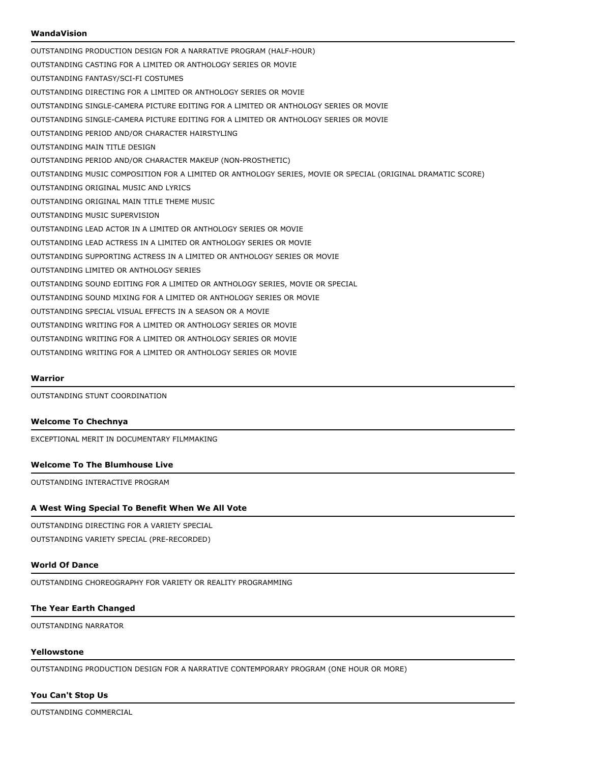## **WandaVision**

OUTSTANDING PRODUCTION DESIGN FOR A NARRATIVE PROGRAM (HALF-HOUR) OUTSTANDING CASTING FOR A LIMITED OR ANTHOLOGY SERIES OR MOVIE OUTSTANDING FANTASY/SCI-FI COSTUMES OUTSTANDING DIRECTING FOR A LIMITED OR ANTHOLOGY SERIES OR MOVIE OUTSTANDING SINGLE-CAMERA PICTURE EDITING FOR A LIMITED OR ANTHOLOGY SERIES OR MOVIE OUTSTANDING SINGLE-CAMERA PICTURE EDITING FOR A LIMITED OR ANTHOLOGY SERIES OR MOVIE OUTSTANDING PERIOD AND/OR CHARACTER HAIRSTYLING OUTSTANDING MAIN TITLE DESIGN OUTSTANDING PERIOD AND/OR CHARACTER MAKEUP (NON-PROSTHETIC) OUTSTANDING MUSIC COMPOSITION FOR A LIMITED OR ANTHOLOGY SERIES, MOVIE OR SPECIAL (ORIGINAL DRAMATIC SCORE) OUTSTANDING ORIGINAL MUSIC AND LYRICS OUTSTANDING ORIGINAL MAIN TITLE THEME MUSIC OUTSTANDING MUSIC SUPERVISION OUTSTANDING LEAD ACTOR IN A LIMITED OR ANTHOLOGY SERIES OR MOVIE OUTSTANDING LEAD ACTRESS IN A LIMITED OR ANTHOLOGY SERIES OR MOVIE OUTSTANDING SUPPORTING ACTRESS IN A LIMITED OR ANTHOLOGY SERIES OR MOVIE OUTSTANDING LIMITED OR ANTHOLOGY SERIES OUTSTANDING SOUND EDITING FOR A LIMITED OR ANTHOLOGY SERIES, MOVIE OR SPECIAL OUTSTANDING SOUND MIXING FOR A LIMITED OR ANTHOLOGY SERIES OR MOVIE OUTSTANDING SPECIAL VISUAL EFFECTS IN A SEASON OR A MOVIE OUTSTANDING WRITING FOR A LIMITED OR ANTHOLOGY SERIES OR MOVIE OUTSTANDING WRITING FOR A LIMITED OR ANTHOLOGY SERIES OR MOVIE OUTSTANDING WRITING FOR A LIMITED OR ANTHOLOGY SERIES OR MOVIE

#### **Warrior**

OUTSTANDING STUNT COORDINATION

#### **Welcome To Chechnya**

EXCEPTIONAL MERIT IN DOCUMENTARY FILMMAKING

## **Welcome To The Blumhouse Live**

OUTSTANDING INTERACTIVE PROGRAM

### **A West Wing Special To Benefit When We All Vote**

OUTSTANDING DIRECTING FOR A VARIETY SPECIAL

OUTSTANDING VARIETY SPECIAL (PRE-RECORDED)

### **World Of Dance**

OUTSTANDING CHOREOGRAPHY FOR VARIETY OR REALITY PROGRAMMING

## **The Year Earth Changed**

OUTSTANDING NARRATOR

## **Yellowstone**

OUTSTANDING PRODUCTION DESIGN FOR A NARRATIVE CONTEMPORARY PROGRAM (ONE HOUR OR MORE)

## **You Can't Stop Us**

OUTSTANDING COMMERCIAL